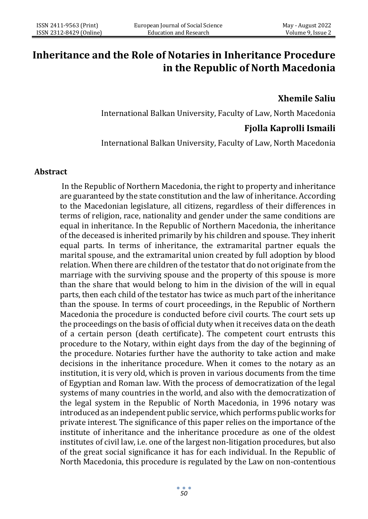# **Inheritance and the Role of Notaries in Inheritance Procedure in the Republic of North Macedonia**

# **Xhemile Saliu**

International Balkan University, Faculty of Law, North Macedonia

# **Fjolla Kaprolli Ismaili**

International Balkan University, Faculty of Law, North Macedonia

#### **Abstract**

In the Republic of Northern Macedonia, the right to property and inheritance are guaranteed by the state constitution and the law of inheritance. According to the Macedonian legislature, all citizens, regardless of their differences in terms of religion, race, nationality and gender under the same conditions are equal in inheritance. In the Republic of Northern Macedonia, the inheritance of the deceased is inherited primarily by his children and spouse. They inherit equal parts. In terms of inheritance, the extramarital partner equals the marital spouse, and the extramarital union created by full adoption by blood relation. When there are children of the testator that do not originate from the marriage with the surviving spouse and the property of this spouse is more than the share that would belong to him in the division of the will in equal parts, then each child of the testator has twice as much part of the inheritance than the spouse. In terms of court proceedings, in the Republic of Northern Macedonia the procedure is conducted before civil courts. The court sets up the proceedings on the basis of official duty when it receives data on the death of a certain person (death certificate). The competent court entrusts this procedure to the Notary, within eight days from the day of the beginning of the procedure. Notaries further have the authority to take action and make decisions in the inheritance procedure. When it comes to the notary as an institution, it is very old, which is proven in various documents from the time of Egyptian and Roman law. With the process of democratization of the legal systems of many countries in the world, and also with the democratization of the legal system in the Republic of North Macedonia, in 1996 notary was introduced as an independent public service, which performs public works for private interest. The significance of this paper relies on the importance of the institute of inheritance and the inheritance procedure as one of the oldest institutes of civil law, i.e. one of the largest non-litigation procedures, but also of the great social significance it has for each individual. In the Republic of North Macedonia, this procedure is regulated by the Law on non-contentious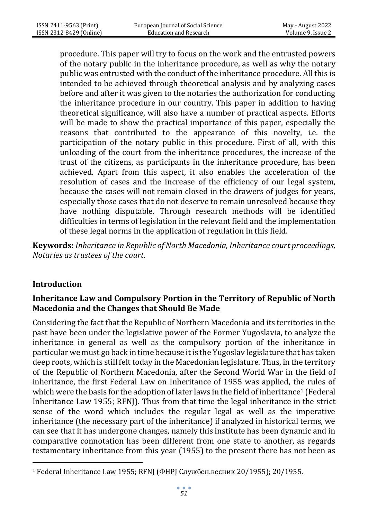procedure. This paper will try to focus on the work and the entrusted powers of the notary public in the inheritance procedure, as well as why the notary public was entrusted with the conduct of the inheritance procedure. All this is intended to be achieved through theoretical analysis and by analyzing cases before and after it was given to the notaries the authorization for conducting the inheritance procedure in our country. This paper in addition to having theoretical significance, will also have a number of practical aspects. Efforts will be made to show the practical importance of this paper, especially the reasons that contributed to the appearance of this novelty, i.e. the participation of the notary public in this procedure. First of all, with this unloading of the court from the inheritance procedures, the increase of the trust of the citizens, as participants in the inheritance procedure, has been achieved. Apart from this aspect, it also enables the acceleration of the resolution of cases and the increase of the efficiency of our legal system, because the cases will not remain closed in the drawers of judges for years, especially those cases that do not deserve to remain unresolved because they have nothing disputable. Through research methods will be identified difficulties in terms of legislation in the relevant field and the implementation of these legal norms in the application of regulation in this field.

**Keywords:** *Inheritance in Republic of North Macedonia, Inheritance court proceedings, Notaries as trustees of the court*.

# **Introduction**

### **Inheritance Law and Compulsory Portion in the Territory of Republic of North Macedonia and the Changes that Should Be Made**

Considering the fact that the Republic of Northern Macedonia and its territories in the past have been under the legislative power of the Former Yugoslavia, to analyze the inheritance in general as well as the compulsory portion of the inheritance in particular we must go back in time because it is the Yugoslav legislature that has taken deep roots, which is still felt today in the Macedonian legislature. Thus, in the territory of the Republic of Northern Macedonia, after the Second World War in the field of inheritance, the first Federal Law on Inheritance of 1955 was applied, the rules of which were the basis for the adoption of later laws in the field of inheritance<sup>1</sup> (Federal Inheritance Law 1955; RFNJ). Thus from that time the legal inheritance in the strict sense of the word which includes the regular legal as well as the imperative inheritance (the necessary part of the inheritance) if analyzed in historical terms, we can see that it has undergone changes, namely this institute has been dynamic and in comparative connotation has been different from one state to another, as regards testamentary inheritance from this year (1955) to the present there has not been as

<sup>1</sup> Federal Inheritance Law 1955; RFNJ (ФНРЈ Службен.весник 20/1955); 20/1955.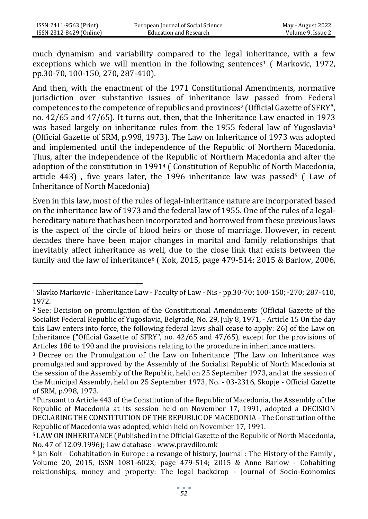much dynamism and variability compared to the legal inheritance, with a few exceptions which we will mention in the following sentences<sup>1</sup> (Markovic, 1972, pp.30-70, 100-150, 270, 287-410).

And then, with the enactment of the 1971 Constitutional Amendments, normative jurisdiction over substantive issues of inheritance law passed from Federal competences to the competence of republics and provinces<sup>2</sup> (Official Gazette of SFRY", no. 42/65 and 47/65). It turns out, then, that the Inheritance Law enacted in 1973 was based largely on inheritance rules from the 1955 federal law of Yugoslavia<sup>3</sup> (Official Gazette of SRM, p.998, 1973). The Law on Inheritance of 1973 was adopted and implemented until the independence of the Republic of Northern Macedonia. Thus, after the independence of the Republic of Northern Macedonia and after the adoption of the constitution in 1991<sup>4</sup> ( Constitution of Republic of North Macedonia, article 443), five years later, the 1996 inheritance law was passed<sup>5</sup> (Law of Inheritance of North Macedonia)

Even in this law, most of the rules of legal-inheritance nature are incorporated based on the inheritance law of 1973 and the federal law of 1955. One of the rules of a legalhereditary nature that has been incorporated and borrowed from these previous laws is the aspect of the circle of blood heirs or those of marriage. However, in recent decades there have been major changes in marital and family relationships that inevitably affect inheritance as well, due to the close link that exists between the family and the law of inheritance<sup>6</sup> (Kok, 2015, page 479-514; 2015 & Barlow, 2006,

<sup>1</sup> Slavko Markovic - Inheritance Law - Faculty of Law - Nis - pp.30-70; 100-150; -270; 287-410, 1972.

<sup>2</sup> See: Decision on promulgation of the Constitutional Amendments (Official Gazette of the Socialist Federal Republic of Yugoslavia, Belgrade, No. 29, July 8, 1971, - Article 15 On the day this Law enters into force, the following federal laws shall cease to apply: 26) of the Law on Inheritance ("Official Gazette of SFRY", no. 42/65 and 47/65), except for the provisions of Articles 186 to 190 and the provisions relating to the procedure in inheritance matters.

<sup>3</sup> Decree on the Promulgation of the Law on Inheritance (The Law on Inheritance was promulgated and approved by the Assembly of the Socialist Republic of North Macedonia at the session of the Assembly of the Republic, held on 25 September 1973, and at the session of the Municipal Assembly, held on 25 September 1973, No. - 03-2316, Skopje - Official Gazette of SRM, p.998, 1973.

<sup>4</sup> Pursuant to Article 443 of the Constitution of the Republic of Macedonia, the Assembly of the Republic of Macedonia at its session held on November 17, 1991, adopted a DECISION DECLARING THE CONSTITUTION OF THE REPUBLIC OF MACEDONIA - The Constitution of the Republic of Macedonia was adopted, which held on November 17, 1991.

<sup>5</sup> LAW ON INHERITANCE (Published in the Official Gazette of the Republic of North Macedonia, No. 47 of 12.09.1996); Law database - [www.pravdiko.mk](http://www.pravdiko.mk/) 

 $6$  Jan Kok – Cohabitation in Europe : a revange of history, Journal : The History of the Family, Volume 20, 2015, ISSN 1081-602X; page 479-514; 2015 & Anne Barlow - Cohabiting relationships, money and property: The legal backdrop - Journal of Socio-Economics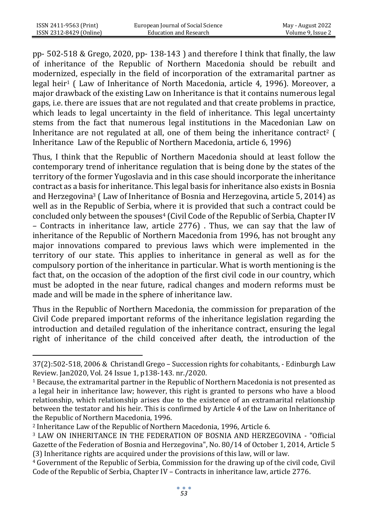pp- 502-518 & Grego, 2020, pp- 138-143 ) and therefore I think that finally, the law of inheritance of the Republic of Northern Macedonia should be rebuilt and modernized, especially in the field of incorporation of the extramarital partner as legal heir<sup>1</sup> ( Law of Inheritance of North Macedonia, article 4, 1996). Moreover, a major drawback of the existing Law on Inheritance is that it contains numerous legal gaps, i.e. there are issues that are not regulated and that create problems in practice, which leads to legal uncertainty in the field of inheritance. This legal uncertainty stems from the fact that numerous legal institutions in the Macedonian Law on Inheritance are not regulated at all, one of them being the inheritance contract<sup>2</sup> ( Inheritance Law of the Republic of Northern Macedonia, article 6, 1996)

Thus, I think that the Republic of Northern Macedonia should at least follow the contemporary trend of inheritance regulation that is being done by the states of the territory of the former Yugoslavia and in this case should incorporate the inheritance contract as a basis for inheritance. This legal basis for inheritance also exists in Bosnia and Herzegovina<sup>3</sup> ( Law of Inheritance of Bosnia and Herzegovina, article 5, 2014) as well as in the Republic of Serbia, where it is provided that such a contract could be concluded only between the spouses<sup>4</sup> (Civil Code of the Republic of Serbia, Chapter IV – Contracts in inheritance law, article 2776) . Thus, we can say that the law of inheritance of the Republic of Northern Macedonia from 1996, has not brought any major innovations compared to previous laws which were implemented in the territory of our state. This applies to inheritance in general as well as for the compulsory portion of the inheritance in particular. What is worth mentioning is the fact that, on the occasion of the adoption of the first civil code in our country, which must be adopted in the near future, radical changes and modern reforms must be made and will be made in the sphere of inheritance law.

Thus in the Republic of Northern Macedonia, the commission for preparation of the Civil Code prepared important reforms of the inheritance legislation regarding the introduction and detailed regulation of the inheritance contract, ensuring the legal right of inheritance of the child conceived after death, the introduction of the

<sup>37(2):502-518, 2006 &</sup>amp; Christandl Grego – Succession rights for cohabitants, - Edinburgh Law Review. Jan2020, Vol. 24 Issue 1, p138-143. nr./2020.

 $<sup>1</sup>$  Because, the extramarital partner in the Republic of Northern Macedonia is not presented as</sup> a legal heir in inheritance law; however, this right is granted to persons who have a blood relationship, which relationship arises due to the existence of an extramarital relationship between the testator and his heir. This is confirmed by Article 4 of the Law on Inheritance of the Republic of Northern Macedonia, 1996.

<sup>2</sup> Inheritance Law of the Republic of Northern Macedonia, 1996, Article 6.

<sup>3</sup> LAW ON INHERITANCE IN THE FEDERATION OF BOSNIA AND HERZEGOVINA - "Official Gazette of the Federation of Bosnia and Herzegovina", No. 80/14 of October 1, 2014, Article 5 (3) Inheritance rights are acquired under the provisions of this law, will or law.

<sup>4</sup> Government of the Republic of Serbia, Commission for the drawing up of the civil code, Civil Code of the Republic of Serbia, Chapter IV – Contracts in inheritance law, article 2776.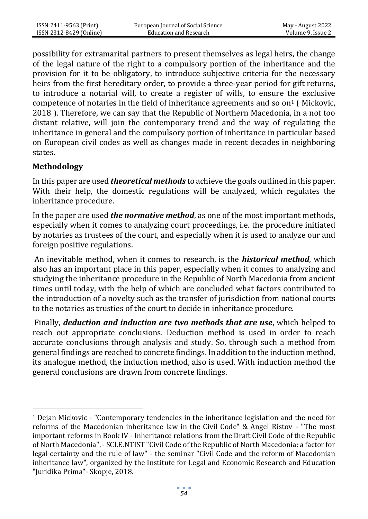possibility for extramarital partners to present themselves as legal heirs, the change of the legal nature of the right to a compulsory portion of the inheritance and the provision for it to be obligatory, to introduce subjective criteria for the necessary heirs from the first hereditary order, to provide a three-year period for gift returns, to introduce a notarial will, to create a register of wills, to ensure the exclusive competence of notaries in the field of inheritance agreements and so on<sup>1</sup> (Mickovic, 2018 ). Therefore, we can say that the Republic of Northern Macedonia, in a not too distant relative, will join the contemporary trend and the way of regulating the inheritance in general and the compulsory portion of inheritance in particular based on European civil codes as well as changes made in recent decades in neighboring states.

### **Methodology**

In this paper are used *theoretical methods* to achieve the goals outlined in this paper. With their help, the domestic regulations will be analyzed, which regulates the inheritance procedure.

In the paper are used *the normative method*, as one of the most important methods, especially when it comes to analyzing court proceedings, i.e. the procedure initiated by notaries as trustees of the court, and especially when it is used to analyze our and foreign positive regulations.

An inevitable method, when it comes to research, is the *historical method*, which also has an important place in this paper, especially when it comes to analyzing and studying the inheritance procedure in the Republic of North Macedonia from ancient times until today, with the help of which are concluded what factors contributed to the introduction of a novelty such as the transfer of jurisdiction from national courts to the notaries as trusties of the court to decide in inheritance procedure.

Finally, *deduction and induction are two methods that are use*, which helped to reach out appropriate conclusions. Deduction method is used in order to reach accurate conclusions through analysis and study. So, through such a method from general findings are reached to concrete findings. In addition to the induction method, its analogue method, the induction method, also is used. With induction method the general conclusions are drawn from concrete findings.

<sup>1</sup> Dejan Mickovic - "Contemporary tendencies in the inheritance legislation and the need for reforms of the Macedonian inheritance law in the Civil Code" & Angel Ristov - "The most important reforms in Book IV - Inheritance relations from the Draft Civil Code of the Republic of North Macedonia", - SCI.E.NTIST "Civil Code of the Republic of North Macedonia: a factor for legal certainty and the rule of law" - the seminar "Civil Code and the reform of Macedonian inheritance law", organized by the Institute for Legal and Economic Research and Education "Juridika Prima"- Skopje, 2018.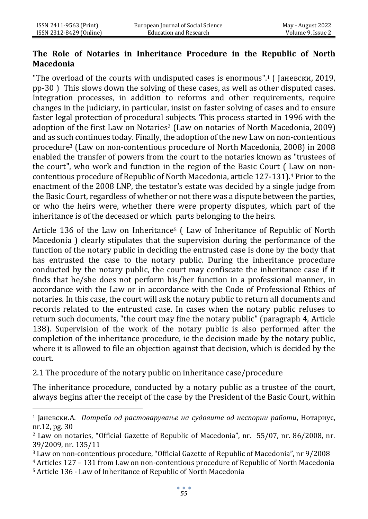### **The Role of Notaries in Inheritance Procedure in the Republic of North Macedonia**

"The overload of the courts with undisputed cases is enormous".<sup>1</sup> ( Јаневски, 2019, pp-30 ) This slows down the solving of these cases, as well as other disputed cases. Integration processes, in addition to reforms and other requirements, require changes in the judiciary, in particular, insist on faster solving of cases and to ensure faster legal protection of procedural subjects. This process started in 1996 with the adoption of the first Law on Notaries<sup>2</sup> (Law on notaries of North Macedonia, 2009) and as such continues today. Finally, the adoption of the new Law on non-contentious procedure<sup>3</sup> (Law on non-contentious procedure of North Macedonia, 2008) in 2008 enabled the transfer of powers from the court to the notaries known as "trustees of the court", who work and function in the region of the Basic Court ( Law on noncontentious procedure of Republic of North Macedonia, article 127-131).<sup>4</sup> Prior to the enactment of the 2008 LNP, the testator's estate was decided by a single judge from the Basic Court, regardless of whether or not there was a dispute between the parties, or who the heirs were, whether there were property disputes, which part of the inheritance is of the deceased or which parts belonging to the heirs.

Article 136 of the Law on Inheritance<sup>5</sup> (Law of Inheritance of Republic of North Macedonia ) clearly stipulates that the supervision during the performance of the function of the notary public in deciding the entrusted case is done by the body that has entrusted the case to the notary public. During the inheritance procedure conducted by the notary public, the court may confiscate the inheritance case if it finds that he/she does not perform his/her function in a professional manner, in accordance with the Law or in accordance with the Code of Professional Ethics of notaries. In this case, the court will ask the notary public to return all documents and records related to the entrusted case. In cases when the notary public refuses to return such documents, "the court may fine the notary public" (paragraph 4, Article 138). Supervision of the work of the notary public is also performed after the completion of the inheritance procedure, ie the decision made by the notary public, where it is allowed to file an objection against that decision, which is decided by the court.

2.1 The procedure of the notary public on inheritance case/procedure

The inheritance procedure, conducted by a notary public as a trustee of the court, always begins after the receipt of the case by the President of the Basic Court, within

<sup>1</sup> Јаневски.А. *Потреба од растоварување на судовите од неспорни работи*, Нотариус, nr.12, pg. 30

<sup>2</sup> Law on notaries, "Official Gazette of Republic of Macedonia", nr. 55/07, nr. 86/2008, nr. 39/2009, nr. 135/11

<sup>3</sup> Law on non-contentious procedure, "Official Gazette of Republic of Macedonia", nr 9/2008

<sup>4</sup> Articles 127 – 131 from Law on non-contentious procedure of Republic of North Macedonia

<sup>5</sup> Article 136 - Law of Inheritance of Republic of North Macedonia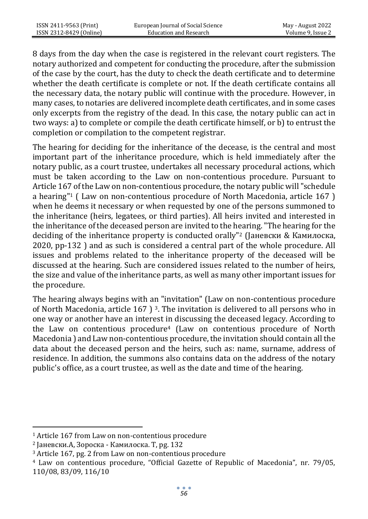8 days from the day when the case is registered in the relevant court registers. The notary authorized and competent for conducting the procedure, after the submission of the case by the court, has the duty to check the death certificate and to determine whether the death certificate is complete or not. If the death certificate contains all the necessary data, the notary public will continue with the procedure. However, in many cases, to notaries are delivered incomplete death certificates, and in some cases only excerpts from the registry of the dead. In this case, the notary public can act in two ways: a) to complete or compile the death certificate himself, or b) to entrust the completion or compilation to the competent registrar.

The hearing for deciding for the inheritance of the decease, is the central and most important part of the inheritance procedure, which is held immediately after the notary public, as a court trustee, undertakes all necessary procedural actions, which must be taken according to the Law on non-contentious procedure. Pursuant to Article 167 of the Law on non-contentious procedure, the notary public will "schedule a hearing"<sup>1</sup> ( Law on non-contentious procedure of North Macedonia, article 167 ) when he deems it necessary or when requested by one of the persons summoned to the inheritance (heirs, legatees, or third parties). All heirs invited and interested in the inheritance of the deceased person are invited to the hearing. "The hearing for the deciding of the inheritance property is conducted orally"<sup>2</sup> (Јаневски & Камилоска, 2020, pp-132 ) and as such is considered a central part of the whole procedure. All issues and problems related to the inheritance property of the deceased will be discussed at the hearing. Such are considered issues related to the number of heirs, the size and value of the inheritance parts, as well as many other important issues for the procedure.

The hearing always begins with an "invitation" (Law on non-contentious procedure of North Macedonia, article 167 ) 3. The invitation is delivered to all persons who in one way or another have an interest in discussing the deceased legacy. According to the Law on contentious procedure<sup>4</sup> (Law on contentious procedure of North Macedonia ) and Law non-contentious procedure, the invitation should contain all the data about the deceased person and the heirs, such as: name, surname, address of residence. In addition, the summons also contains data on the address of the notary public's office, as a court trustee, as well as the date and time of the hearing.

<sup>1</sup> Article 167 from Law on non-contentious procedure

<sup>2</sup> Јаневски.А, Зороска - Камилоска. Т, pg. 132

<sup>3</sup> Article 167, pg. 2 from Law on non-contentious procedure

<sup>4</sup> Law on contentious procedure, "Official Gazette of Republic of Macedonia", nr. 79/05, 110/08, 83/09, 116/10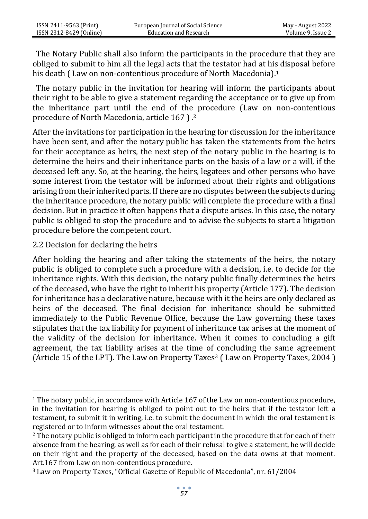The Notary Public shall also inform the participants in the procedure that they are obliged to submit to him all the legal acts that the testator had at his disposal before his death (Law on non-contentious procedure of North Macedonia).<sup>1</sup>

 The notary public in the invitation for hearing will inform the participants about their right to be able to give a statement regarding the acceptance or to give up from the inheritance part until the end of the procedure (Law on non-contentious procedure of North Macedonia, article 167 ) .<sup>2</sup>

After the invitations for participation in the hearing for discussion for the inheritance have been sent, and after the notary public has taken the statements from the heirs for their acceptance as heirs, the next step of the notary public in the hearing is to determine the heirs and their inheritance parts on the basis of a law or a will, if the deceased left any. So, at the hearing, the heirs, legatees and other persons who have some interest from the testator will be informed about their rights and obligations arising from their inherited parts. If there are no disputes between the subjects during the inheritance procedure, the notary public will complete the procedure with a final decision. But in practice it often happens that a dispute arises. In this case, the notary public is obliged to stop the procedure and to advise the subjects to start a litigation procedure before the competent court.

### 2.2 Decision for declaring the heirs

After holding the hearing and after taking the statements of the heirs, the notary public is obliged to complete such a procedure with a decision, i.e. to decide for the inheritance rights. With this decision, the notary public finally determines the heirs of the deceased, who have the right to inherit his property (Article 177). The decision for inheritance has a declarative nature, because with it the heirs are only declared as heirs of the deceased. The final decision for inheritance should be submitted immediately to the Public Revenue Office, because the Law governing these taxes stipulates that the tax liability for payment of inheritance tax arises at the moment of the validity of the decision for inheritance. When it comes to concluding a gift agreement, the tax liability arises at the time of concluding the same agreement (Article 15 of the LPT). The Law on Property Taxes<sup>3</sup> (Law on Property Taxes, 2004)

<sup>1</sup> The notary public, in accordance with Article 167 of the Law on non-contentious procedure, in the invitation for hearing is obliged to point out to the heirs that if the testator left a testament, to submit it in writing, i.e. to submit the document in which the oral testament is registered or to inform witnesses about the oral testament.

<sup>&</sup>lt;sup>2</sup> The notary public is obliged to inform each participant in the procedure that for each of their absence from the hearing, as well as for each of their refusal to give a statement, he will decide on their right and the property of the deceased, based on the data owns at that moment. Art.167 from Law on non-contentious procedure.

<sup>3</sup> Law on Property Taxes, "Official Gazette of Republic of Macedonia", nr. 61/2004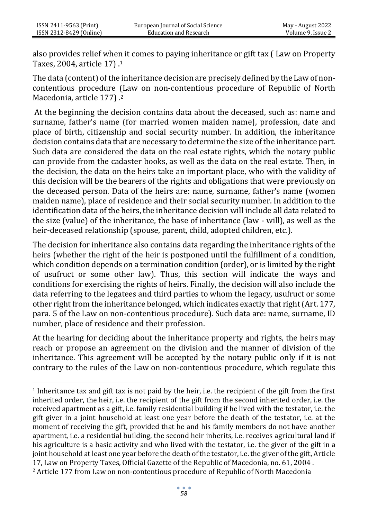also provides relief when it comes to paying inheritance or gift tax ( Law on Property Taxes, 2004, article 17) .<sup>1</sup>

The data (content) of the inheritance decision are precisely defined by the Law of noncontentious procedure (Law on non-contentious procedure of Republic of North Macedonia, article 177) .<sup>2</sup>

At the beginning the decision contains data about the deceased, such as: name and surname, father's name (for married women maiden name), profession, date and place of birth, citizenship and social security number. In addition, the inheritance decision contains data that are necessary to determine the size of the inheritance part. Such data are considered the data on the real estate rights, which the notary public can provide from the cadaster books, as well as the data on the real estate. Then, in the decision, the data on the heirs take an important place, who with the validity of this decision will be the bearers of the rights and obligations that were previously on the deceased person. Data of the heirs are: name, surname, father's name (women maiden name), place of residence and their social security number. In addition to the identification data of the heirs, the inheritance decision will include all data related to the size (value) of the inheritance, the base of inheritance (law - will), as well as the heir-deceased relationship (spouse, parent, child, adopted children, etc.).

The decision for inheritance also contains data regarding the inheritance rights of the heirs (whether the right of the heir is postponed until the fulfillment of a condition, which condition depends on a termination condition (order), or is limited by the right of usufruct or some other law). Thus, this section will indicate the ways and conditions for exercising the rights of heirs. Finally, the decision will also include the data referring to the legatees and third parties to whom the legacy, usufruct or some other right from the inheritance belonged, which indicates exactly that right (Art. 177, para. 5 of the Law on non-contentious procedure). Such data are: name, surname, ID number, place of residence and their profession.

At the hearing for deciding about the inheritance property and rights, the heirs may reach or propose an agreement on the division and the manner of division of the inheritance. This agreement will be accepted by the notary public only if it is not contrary to the rules of the Law on non-contentious procedure, which regulate this

<sup>1</sup> Inheritance tax and gift tax is not paid by the heir, i.e. the recipient of the gift from the first inherited order, the heir, i.e. the recipient of the gift from the second inherited order, i.e. the received apartment as a gift, i.e. family residential building if he lived with the testator, i.e. the gift giver in a joint household at least one year before the death of the testator, i.e. at the moment of receiving the gift, provided that he and his family members do not have another apartment, i.e. a residential building, the second heir inherits, i.e. receives agricultural land if his agriculture is a basic activity and who lived with the testator, i.e. the giver of the gift in a joint household at least one year before the death of the testator, i.e. the giver of the gift, Article 17, Law on Property Taxes, Official Gazette of the Republic of Macedonia, no. 61, 2004 .

<sup>2</sup> Article 177 from Law on non-contentious procedure of Republic of North Macedonia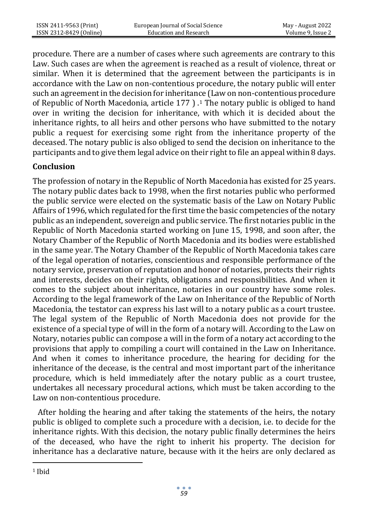procedure. There are a number of cases where such agreements are contrary to this Law. Such cases are when the agreement is reached as a result of violence, threat or similar. When it is determined that the agreement between the participants is in accordance with the Law on non-contentious procedure, the notary public will enter such an agreement in the decision for inheritance (Law on non-contentious procedure of Republic of North Macedonia, article 177 ) .<sup>1</sup> The notary public is obliged to hand over in writing the decision for inheritance, with which it is decided about the inheritance rights, to all heirs and other persons who have submitted to the notary public a request for exercising some right from the inheritance property of the deceased. The notary public is also obliged to send the decision on inheritance to the participants and to give them legal advice on their right to file an appeal within 8 days.

# **Conclusion**

The profession of notary in the Republic of North Macedonia has existed for 25 years. The notary public dates back to 1998, when the first notaries public who performed the public service were elected on the systematic basis of the Law on Notary Public Affairs of 1996, which regulated for the first time the basic competencies of the notary public as an independent, sovereign and public service. The first notaries public in the Republic of North Macedonia started working on June 15, 1998, and soon after, the Notary Chamber of the Republic of North Macedonia and its bodies were established in the same year. The Notary Chamber of the Republic of North Macedonia takes care of the legal operation of notaries, conscientious and responsible performance of the notary service, preservation of reputation and honor of notaries, protects their rights and interests, decides on their rights, obligations and responsibilities. And when it comes to the subject about inheritance, notaries in our country have some roles. According to the legal framework of the Law on Inheritance of the Republic of North Macedonia, the testator can express his last will to a notary public as a court trustee. The legal system of the Republic of North Macedonia does not provide for the existence of a special type of will in the form of a notary will. According to the Law on Notary, notaries public can compose a will in the form of a notary act according to the provisions that apply to compiling a court will contained in the Law on Inheritance. And when it comes to inheritance procedure, the hearing for deciding for the inheritance of the decease, is the central and most important part of the inheritance procedure, which is held immediately after the notary public as a court trustee, undertakes all necessary procedural actions, which must be taken according to the Law on non-contentious procedure.

 After holding the hearing and after taking the statements of the heirs, the notary public is obliged to complete such a procedure with a decision, i.e. to decide for the inheritance rights. With this decision, the notary public finally determines the heirs of the deceased, who have the right to inherit his property. The decision for inheritance has a declarative nature, because with it the heirs are only declared as

<sup>1</sup> Ibid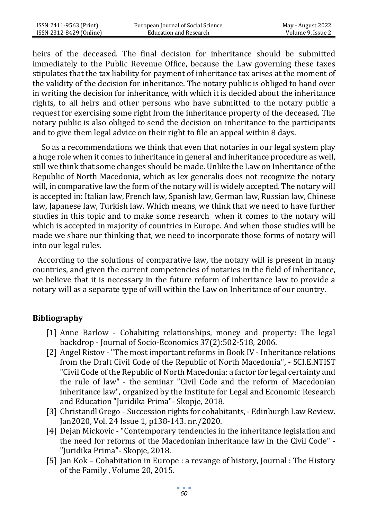heirs of the deceased. The final decision for inheritance should be submitted immediately to the Public Revenue Office, because the Law governing these taxes stipulates that the tax liability for payment of inheritance tax arises at the moment of the validity of the decision for inheritance. The notary public is obliged to hand over in writing the decision for inheritance, with which it is decided about the inheritance rights, to all heirs and other persons who have submitted to the notary public a request for exercising some right from the inheritance property of the deceased. The notary public is also obliged to send the decision on inheritance to the participants and to give them legal advice on their right to file an appeal within 8 days.

 So as a recommendations we think that even that notaries in our legal system play a huge role when it comes to inheritance in general and inheritance procedure as well, still we think that some changes should be made. Unlike the Law on Inheritance of the Republic of North Macedonia, which as lex generalis does not recognize the notary will, in comparative law the form of the notary will is widely accepted. The notary will is accepted in: Italian law, French law, Spanish law, German law, Russian law, Chinese law, Japanese law, Turkish law. Which means, we think that we need to have further studies in this topic and to make some research when it comes to the notary will which is accepted in majority of countries in Europe. And when those studies will be made we share our thinking that, we need to incorporate those forms of notary will into our legal rules.

 According to the solutions of comparative law, the notary will is present in many countries, and given the current competencies of notaries in the field of inheritance, we believe that it is necessary in the future reform of inheritance law to provide a notary will as a separate type of will within the Law on Inheritance of our country.

# **Bibliography**

- [1] Anne Barlow Cohabiting relationships, money and property: The legal backdrop - Journal of Socio-Economics 37(2):502-518, 2006.
- [2] Angel Ristov "The most important reforms in Book IV Inheritance relations from the Draft Civil Code of the Republic of North Macedonia", - SCI.E.NTIST "Civil Code of the Republic of North Macedonia: a factor for legal certainty and the rule of law" - the seminar "Civil Code and the reform of Macedonian inheritance law", organized by the Institute for Legal and Economic Research and Education "Juridika Prima"- Skopje, 2018.
- [3] Christandl Grego Succession rights for cohabitants, Edinburgh Law Review. Jan2020, Vol. 24 Issue 1, p138-143. nr./2020.
- [4] Dejan Mickovic "Contemporary tendencies in the inheritance legislation and the need for reforms of the Macedonian inheritance law in the Civil Code" - "Juridika Prima"- Skopje, 2018.
- [5] Jan Kok Cohabitation in Europe : a revange of history, Journal : The History of the Family , Volume 20, 2015.